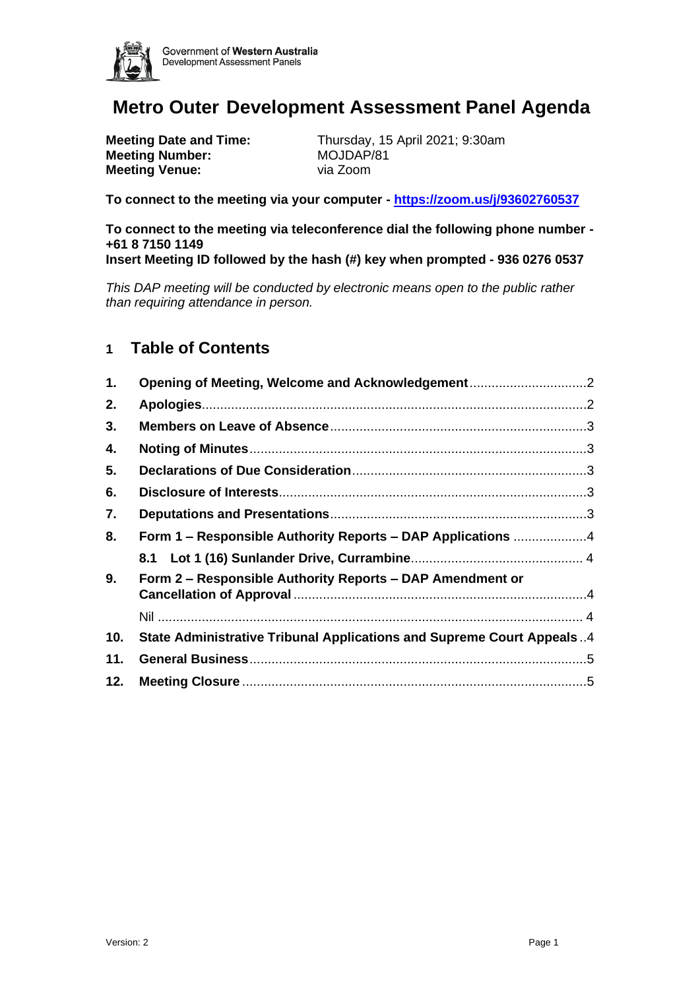

# **Metro Outer Development Assessment Panel Agenda**

**Meeting Number:** MOJDAP/81<br> **Meeting Venue:** via Zoom **Meeting Venue:** 

**Meeting Date and Time:** Thursday, 15 April 2021; 9:30am

**To connect to the meeting via your computer - <https://zoom.us/j/93602760537>**

**To connect to the meeting via teleconference dial the following phone number - +61 8 7150 1149 Insert Meeting ID followed by the hash (#) key when prompted - 936 0276 0537**

*This DAP meeting will be conducted by electronic means open to the public rather than requiring attendance in person.*

# **1 Table of Contents**

| 1.  |                                                                       |
|-----|-----------------------------------------------------------------------|
| 2.  |                                                                       |
| 3.  |                                                                       |
| 4.  |                                                                       |
| 5.  |                                                                       |
| 6.  |                                                                       |
| 7.  |                                                                       |
| 8.  | Form 1 - Responsible Authority Reports - DAP Applications 4           |
|     |                                                                       |
| 9.  | Form 2 - Responsible Authority Reports - DAP Amendment or             |
|     |                                                                       |
| 10. | State Administrative Tribunal Applications and Supreme Court Appeals4 |
| 11. |                                                                       |
| 12. |                                                                       |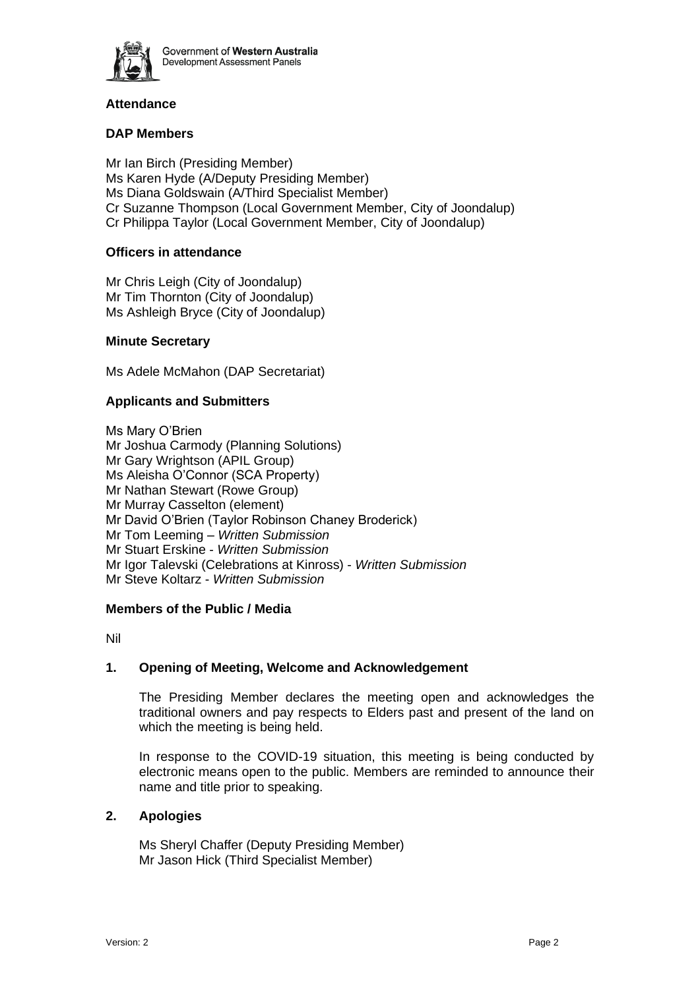

# **Attendance**

# **DAP Members**

Mr Ian Birch (Presiding Member) Ms Karen Hyde (A/Deputy Presiding Member) Ms Diana Goldswain (A/Third Specialist Member) Cr Suzanne Thompson (Local Government Member, City of Joondalup) Cr Philippa Taylor (Local Government Member, City of Joondalup)

# **Officers in attendance**

Mr Chris Leigh (City of Joondalup) Mr Tim Thornton (City of Joondalup) Ms Ashleigh Bryce (City of Joondalup)

#### **Minute Secretary**

Ms Adele McMahon (DAP Secretariat)

#### **Applicants and Submitters**

Ms Mary O'Brien Mr Joshua Carmody (Planning Solutions) Mr Gary Wrightson (APIL Group) Ms Aleisha O'Connor (SCA Property) Mr Nathan Stewart (Rowe Group) Mr Murray Casselton (element) Mr David O'Brien (Taylor Robinson Chaney Broderick) Mr Tom Leeming – *Written Submission* Mr Stuart Erskine - *Written Submission* Mr Igor Talevski (Celebrations at Kinross) - *Written Submission* Mr Steve Koltarz - *Written Submission*

#### **Members of the Public / Media**

Nil

# <span id="page-1-0"></span>**1. Opening of Meeting, Welcome and Acknowledgement**

The Presiding Member declares the meeting open and acknowledges the traditional owners and pay respects to Elders past and present of the land on which the meeting is being held.

In response to the COVID-19 situation, this meeting is being conducted by electronic means open to the public. Members are reminded to announce their name and title prior to speaking.

#### <span id="page-1-1"></span>**2. Apologies**

Ms Sheryl Chaffer (Deputy Presiding Member) Mr Jason Hick (Third Specialist Member)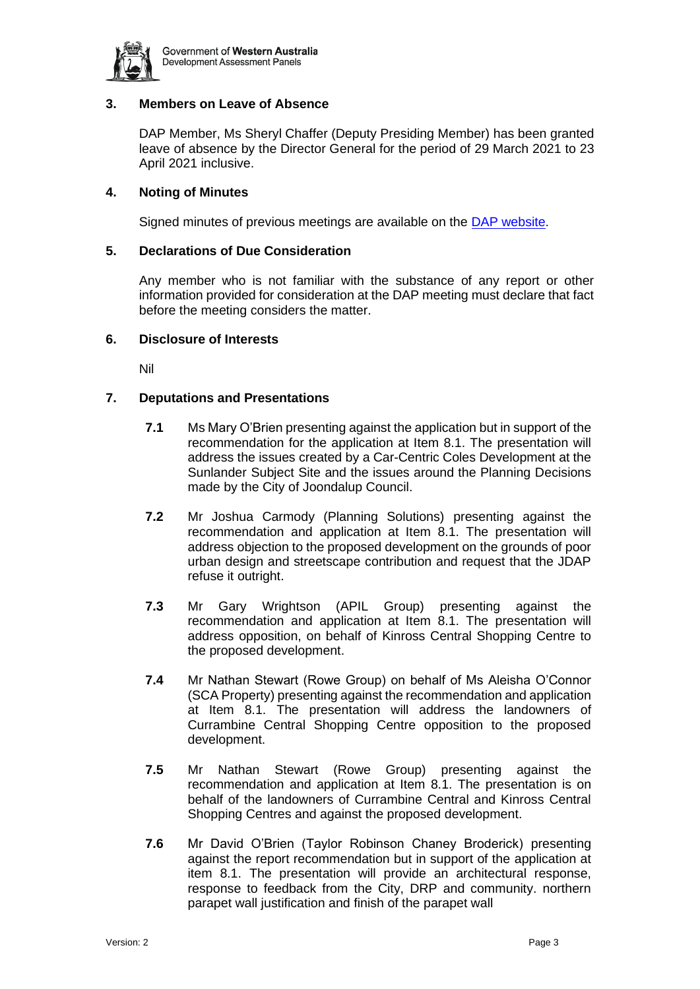

# <span id="page-2-0"></span>**3. Members on Leave of Absence**

DAP Member, Ms Sheryl Chaffer (Deputy Presiding Member) has been granted leave of absence by the Director General for the period of 29 March 2021 to 23 April 2021 inclusive.

# <span id="page-2-1"></span>**4. Noting of Minutes**

Signed minutes of previous meetings are available on the [DAP website.](https://www.dplh.wa.gov.au/about/development-assessment-panels/daps-agendas-and-minutes)

#### <span id="page-2-2"></span>**5. Declarations of Due Consideration**

Any member who is not familiar with the substance of any report or other information provided for consideration at the DAP meeting must declare that fact before the meeting considers the matter.

#### <span id="page-2-3"></span>**6. Disclosure of Interests**

Nil

# <span id="page-2-4"></span>**7. Deputations and Presentations**

- **7.1** Ms Mary O'Brien presenting against the application but in support of the recommendation for the application at Item 8.1. The presentation will address the issues created by a Car-Centric Coles Development at the Sunlander Subject Site and the issues around the Planning Decisions made by the City of Joondalup Council.
- **7.2** Mr Joshua Carmody (Planning Solutions) presenting against the recommendation and application at Item 8.1. The presentation will address objection to the proposed development on the grounds of poor urban design and streetscape contribution and request that the JDAP refuse it outright.
- **7.3** Mr Gary Wrightson (APIL Group) presenting against the recommendation and application at Item 8.1. The presentation will address opposition, on behalf of Kinross Central Shopping Centre to the proposed development.
- **7.4** Mr Nathan Stewart (Rowe Group) on behalf of Ms Aleisha O'Connor (SCA Property) presenting against the recommendation and application at Item 8.1. The presentation will address the landowners of Currambine Central Shopping Centre opposition to the proposed development.
- **7.5** Mr Nathan Stewart (Rowe Group) presenting against the recommendation and application at Item 8.1. The presentation is on behalf of the landowners of Currambine Central and Kinross Central Shopping Centres and against the proposed development.
- **7.6** Mr David O'Brien (Taylor Robinson Chaney Broderick) presenting against the report recommendation but in support of the application at item 8.1. The presentation will provide an architectural response, response to feedback from the City, DRP and community. northern parapet wall justification and finish of the parapet wall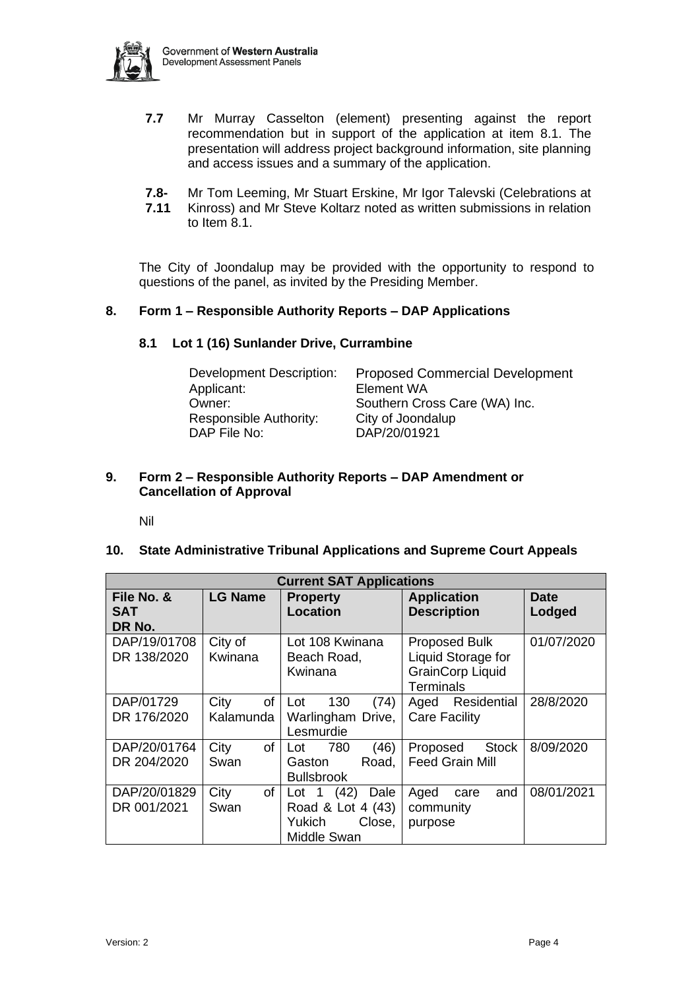

- **7.7** Mr Murray Casselton (element) presenting against the report recommendation but in support of the application at item 8.1. The presentation will address project background information, site planning and access issues and a summary of the application.
- **7.8-** Mr Tom Leeming, Mr Stuart Erskine, Mr Igor Talevski (Celebrations at
- **7.11** Kinross) and Mr Steve Koltarz noted as written submissions in relation to Item 8.1.

The City of Joondalup may be provided with the opportunity to respond to questions of the panel, as invited by the Presiding Member.

# <span id="page-3-1"></span><span id="page-3-0"></span>**8. Form 1 – Responsible Authority Reports – DAP Applications**

#### **8.1 Lot 1 (16) Sunlander Drive, Currambine**

| <b>Proposed Commercial Development</b> |
|----------------------------------------|
| Element WA                             |
| Southern Cross Care (WA) Inc.          |
| City of Joondalup                      |
| DAP/20/01921                           |
|                                        |

#### <span id="page-3-2"></span>**9. Form 2 – Responsible Authority Reports – DAP Amendment or Cancellation of Approval**

Nil

#### <span id="page-3-4"></span><span id="page-3-3"></span>**10. State Administrative Tribunal Applications and Supreme Court Appeals**

| <b>Current SAT Applications</b> |                                |                                                                                          |                                                                                           |                       |  |  |
|---------------------------------|--------------------------------|------------------------------------------------------------------------------------------|-------------------------------------------------------------------------------------------|-----------------------|--|--|
| File No. &<br>SAT<br>DR No.     | <b>LG Name</b>                 | <b>Property</b><br><b>Location</b>                                                       | <b>Application</b><br><b>Description</b>                                                  | <b>Date</b><br>Lodged |  |  |
| DAP/19/01708<br>DR 138/2020     | City of<br>Kwinana             | Lot 108 Kwinana<br>Beach Road,<br>Kwinana                                                | <b>Proposed Bulk</b><br>Liquid Storage for<br><b>GrainCorp Liquid</b><br><b>Terminals</b> | 01/07/2020            |  |  |
| DAP/01729<br>DR 176/2020        | City<br><b>of</b><br>Kalamunda | 130<br>(74)<br>Lot<br>Warlingham Drive,<br>Lesmurdie                                     | Residential<br>Aged<br><b>Care Facility</b>                                               | 28/8/2020             |  |  |
| DAP/20/01764<br>DR 204/2020     | City<br>οf<br>Swan             | (46)<br>780<br>Lot<br>Road,<br>Gaston<br><b>Bullsbrook</b>                               | <b>Stock</b><br>Proposed<br><b>Feed Grain Mill</b>                                        | 8/09/2020             |  |  |
| DAP/20/01829<br>DR 001/2021     | City<br>of<br>Swan             | (42)<br>Lot <sub>1</sub><br>Dale<br>Road & Lot 4 (43)<br>Close,<br>Yukich<br>Middle Swan | and<br>Aged<br>care<br>community<br>purpose                                               | 08/01/2021            |  |  |